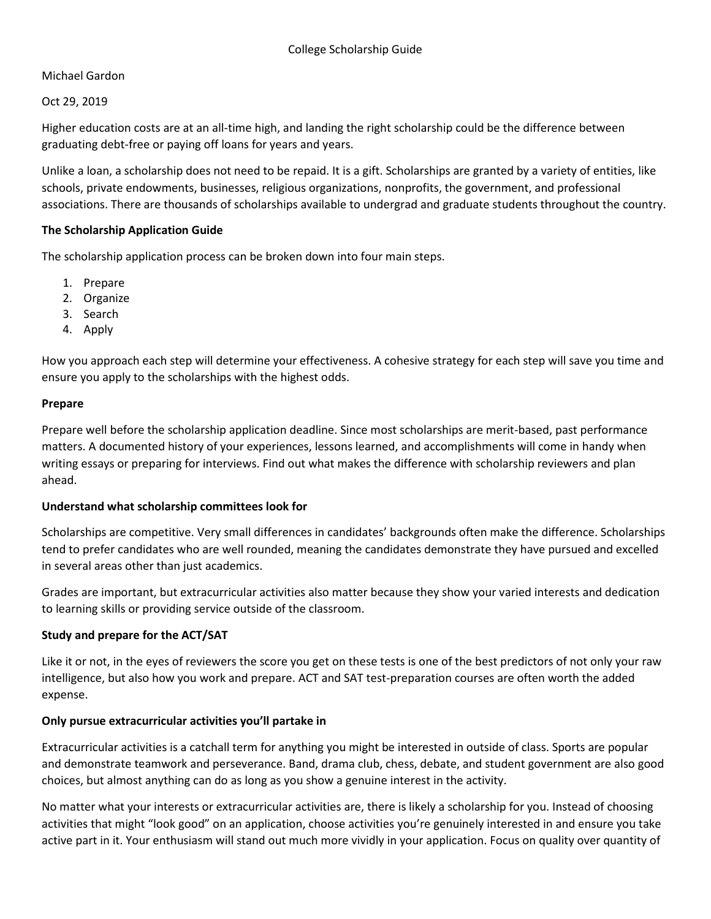# Michael Gardon

Oct 29, 2019

Higher education costs are at an all-time high, and landing the right scholarship could be the difference between graduating debt-free or paying off loans for years and years.

Unlike a loan, a scholarship does not need to be repaid. It is a gift. Scholarships are granted by a variety of entities, like schools, private endowments, businesses, religious organizations, nonprofits, the government, and professional associations. There are thousands of scholarships available to undergrad and graduate students throughout the country.

## **The Scholarship Application Guide**

The scholarship application process can be broken down into four main steps.

- 1. Prepare
- 2. Organize
- 3. Search
- 4. Apply

How you approach each step will determine your effectiveness. A cohesive strategy for each step will save you time and ensure you apply to the scholarships with the highest odds.

#### **Prepare**

Prepare well before the scholarship application deadline. Since most scholarships are merit-based, past performance matters. A documented history of your experiences, lessons learned, and accomplishments will come in handy when writing essays or preparing for interviews. Find out what makes the difference with scholarship reviewers and plan ahead.

#### **Understand what scholarship committees look for**

Scholarships are competitive. Very small differences in candidates' backgrounds often make the difference. Scholarships tend to prefer candidates who are well rounded, meaning the candidates demonstrate they have pursued and excelled in several areas other than just academics.

Grades are important, but extracurricular activities also matter because they show your varied interests and dedication to learning skills or providing service outside of the classroom.

# **Study and prepare for the ACT/SAT**

Like it or not, in the eyes of reviewers the score you get on these tests is one of the best predictors of not only your raw intelligence, but also how you work and prepare. ACT and SAT test-preparation courses are often worth the added expense.

# **Only pursue extracurricular activities you'll partake in**

Extracurricular activities is a catchall term for anything you might be interested in outside of class. Sports are popular and demonstrate teamwork and perseverance. Band, drama club, chess, debate, and student government are also good choices, but almost anything can do as long as you show a genuine interest in the activity.

No matter what your interests or extracurricular activities are, there is likely a scholarship for you. Instead of choosing activities that might "look good" on an application, choose activities you're genuinely interested in and ensure you take active part in it. Your enthusiasm will stand out much more vividly in your application. Focus on quality over quantity of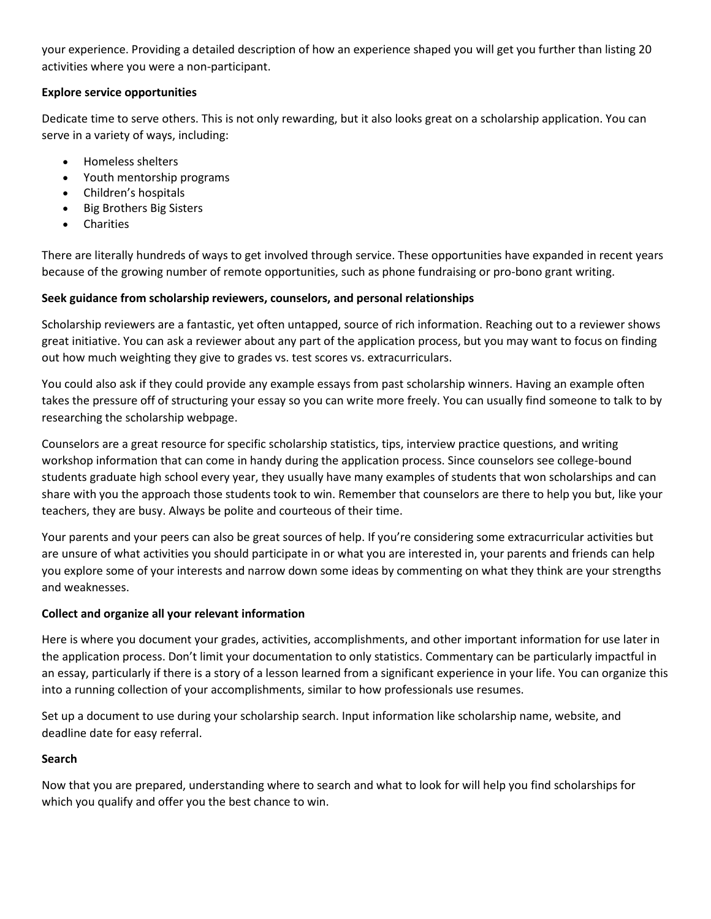your experience. Providing a detailed description of how an experience shaped you will get you further than listing 20 activities where you were a non-participant.

# **Explore service opportunities**

Dedicate time to serve others. This is not only rewarding, but it also looks great on a scholarship application. You can serve in a variety of ways, including:

- Homeless shelters
- Youth mentorship programs
- Children's hospitals
- Big Brothers Big Sisters
- **•** Charities

There are literally hundreds of ways to get involved through service. These opportunities have expanded in recent years because of the growing number of remote opportunities, such as phone fundraising or pro-bono grant writing.

# **Seek guidance from scholarship reviewers, counselors, and personal relationships**

Scholarship reviewers are a fantastic, yet often untapped, source of rich information. Reaching out to a reviewer shows great initiative. You can ask a reviewer about any part of the application process, but you may want to focus on finding out how much weighting they give to grades vs. test scores vs. extracurriculars.

You could also ask if they could provide any example essays from past scholarship winners. Having an example often takes the pressure off of structuring your essay so you can write more freely. You can usually find someone to talk to by researching the scholarship webpage.

Counselors are a great resource for specific scholarship statistics, tips, interview practice questions, and writing workshop information that can come in handy during the application process. Since counselors see college-bound students graduate high school every year, they usually have many examples of students that won scholarships and can share with you the approach those students took to win. Remember that counselors are there to help you but, like your teachers, they are busy. Always be polite and courteous of their time.

Your parents and your peers can also be great sources of help. If you're considering some extracurricular activities but are unsure of what activities you should participate in or what you are interested in, your parents and friends can help you explore some of your interests and narrow down some ideas by commenting on what they think are your strengths and weaknesses.

# **Collect and organize all your relevant information**

Here is where you document your grades, activities, accomplishments, and other important information for use later in the application process. Don't limit your documentation to only statistics. Commentary can be particularly impactful in an essay, particularly if there is a story of a lesson learned from a significant experience in your life. You can organize this into a running collection of your accomplishments, similar to how professionals use resumes.

Set up a document to use during your scholarship search. Input information like scholarship name, website, and deadline date for easy referral.

# **Search**

Now that you are prepared, understanding where to search and what to look for will help you find scholarships for which you qualify and offer you the best chance to win.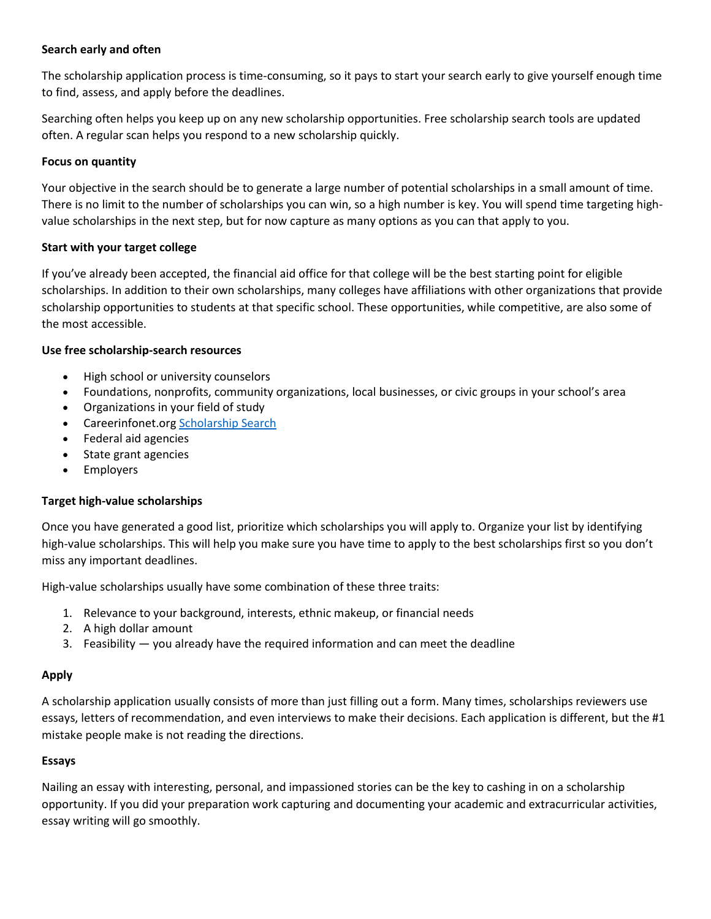## **Search early and often**

The scholarship application process is time-consuming, so it pays to start your search early to give yourself enough time to find, assess, and apply before the deadlines.

Searching often helps you keep up on any new scholarship opportunities. Free scholarship search tools are updated often. A regular scan helps you respond to a new scholarship quickly.

### **Focus on quantity**

Your objective in the search should be to generate a large number of potential scholarships in a small amount of time. There is no limit to the number of scholarships you can win, so a high number is key. You will spend time targeting highvalue scholarships in the next step, but for now capture as many options as you can that apply to you.

## **Start with your target college**

If you've already been accepted, the financial aid office for that college will be the best starting point for eligible scholarships. In addition to their own scholarships, many colleges have affiliations with other organizations that provide scholarship opportunities to students at that specific school. These opportunities, while competitive, are also some of the most accessible.

## **Use free scholarship-search resources**

- High school or university counselors
- Foundations, nonprofits, community organizations, local businesses, or civic groups in your school's area
- Organizations in your field of study
- Careerinfonet.org [Scholarship Search](http://careerinfonet.org/scholarshipsearch/ScholarshipCategory.asp?searchtype=category&nodeid=22)
- Federal aid agencies
- State grant agencies
- Employers

# **Target high-value scholarships**

Once you have generated a good list, prioritize which scholarships you will apply to. Organize your list by identifying high-value scholarships. This will help you make sure you have time to apply to the best scholarships first so you don't miss any important deadlines.

High-value scholarships usually have some combination of these three traits:

- 1. Relevance to your background, interests, ethnic makeup, or financial needs
- 2. A high dollar amount
- 3. Feasibility  $-$  you already have the required information and can meet the deadline

# **Apply**

A scholarship application usually consists of more than just filling out a form. Many times, scholarships reviewers use essays, letters of recommendation, and even interviews to make their decisions. Each application is different, but the #1 mistake people make is not reading the directions.

#### **Essays**

Nailing an essay with interesting, personal, and impassioned stories can be the key to cashing in on a scholarship opportunity. If you did your preparation work capturing and documenting your academic and extracurricular activities, essay writing will go smoothly.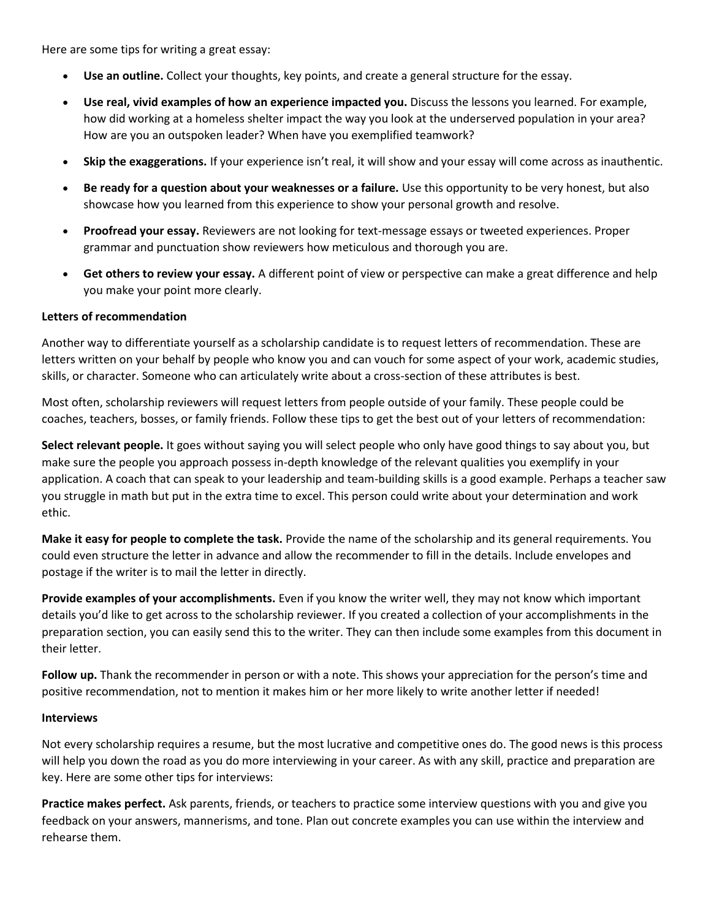Here are some tips for writing a great essay:

- **Use an outline.** Collect your thoughts, key points, and create a general structure for the essay.
- **Use real, vivid examples of how an experience impacted you.** Discuss the lessons you learned. For example, how did working at a homeless shelter impact the way you look at the underserved population in your area? How are you an outspoken leader? When have you exemplified teamwork?
- **Skip the exaggerations.** If your experience isn't real, it will show and your essay will come across as inauthentic.
- **Be ready for a question about your weaknesses or a failure.** Use this opportunity to be very honest, but also showcase how you learned from this experience to show your personal growth and resolve.
- **Proofread your essay.** Reviewers are not looking for text-message essays or tweeted experiences. Proper grammar and punctuation show reviewers how meticulous and thorough you are.
- **Get others to review your essay.** A different point of view or perspective can make a great difference and help you make your point more clearly.

#### **Letters of recommendation**

Another way to differentiate yourself as a scholarship candidate is to request letters of recommendation. These are letters written on your behalf by people who know you and can vouch for some aspect of your work, academic studies, skills, or character. Someone who can articulately write about a cross-section of these attributes is best.

Most often, scholarship reviewers will request letters from people outside of your family. These people could be coaches, teachers, bosses, or family friends. Follow these tips to get the best out of your letters of recommendation:

**Select relevant people.** It goes without saying you will select people who only have good things to say about you, but make sure the people you approach possess in-depth knowledge of the relevant qualities you exemplify in your application. A coach that can speak to your leadership and team-building skills is a good example. Perhaps a teacher saw you struggle in math but put in the extra time to excel. This person could write about your determination and work ethic.

**Make it easy for people to complete the task.** Provide the name of the scholarship and its general requirements. You could even structure the letter in advance and allow the recommender to fill in the details. Include envelopes and postage if the writer is to mail the letter in directly.

**Provide examples of your accomplishments.** Even if you know the writer well, they may not know which important details you'd like to get across to the scholarship reviewer. If you created a collection of your accomplishments in the preparation section, you can easily send this to the writer. They can then include some examples from this document in their letter.

**Follow up.** Thank the recommender in person or with a note. This shows your appreciation for the person's time and positive recommendation, not to mention it makes him or her more likely to write another letter if needed!

#### **Interviews**

Not every scholarship requires a resume, but the most lucrative and competitive ones do. The good news is this process will help you down the road as you do more interviewing in your career. As with any skill, practice and preparation are key. Here are some other tips for interviews:

**Practice makes perfect.** Ask parents, friends, or teachers to practice some interview questions with you and give you feedback on your answers, mannerisms, and tone. Plan out concrete examples you can use within the interview and rehearse them.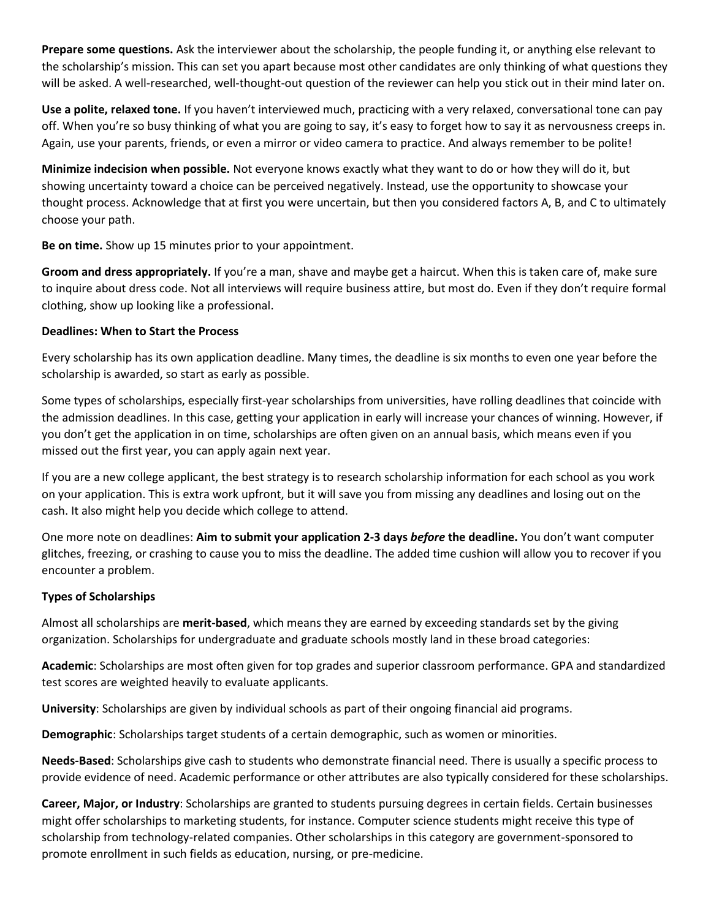**Prepare some questions.** Ask the interviewer about the scholarship, the people funding it, or anything else relevant to the scholarship's mission. This can set you apart because most other candidates are only thinking of what questions they will be asked. A well-researched, well-thought-out question of the reviewer can help you stick out in their mind later on.

**Use a polite, relaxed tone.** If you haven't interviewed much, practicing with a very relaxed, conversational tone can pay off. When you're so busy thinking of what you are going to say, it's easy to forget how to say it as nervousness creeps in. Again, use your parents, friends, or even a mirror or video camera to practice. And always remember to be polite!

**Minimize indecision when possible.** Not everyone knows exactly what they want to do or how they will do it, but showing uncertainty toward a choice can be perceived negatively. Instead, use the opportunity to showcase your thought process. Acknowledge that at first you were uncertain, but then you considered factors A, B, and C to ultimately choose your path.

**Be on time.** Show up 15 minutes prior to your appointment.

**Groom and dress appropriately.** If you're a man, shave and maybe get a haircut. When this is taken care of, make sure to inquire about dress code. Not all interviews will require business attire, but most do. Even if they don't require formal clothing, show up looking like a professional.

## **Deadlines: When to Start the Process**

Every scholarship has its own application deadline. Many times, the deadline is six months to even one year before the scholarship is awarded, so start as early as possible.

Some types of scholarships, especially first-year scholarships from universities, have rolling deadlines that coincide with the admission deadlines. In this case, getting your application in early will increase your chances of winning. However, if you don't get the application in on time, scholarships are often given on an annual basis, which means even if you missed out the first year, you can apply again next year.

If you are a new college applicant, the best strategy is to research scholarship information for each school as you work on your application. This is extra work upfront, but it will save you from missing any deadlines and losing out on the cash. It also might help you decide which college to attend.

One more note on deadlines: **Aim to submit your application 2-3 days** *before* **the deadline.** You don't want computer glitches, freezing, or crashing to cause you to miss the deadline. The added time cushion will allow you to recover if you encounter a problem.

# **Types of Scholarships**

Almost all scholarships are **merit-based**, which means they are earned by exceeding standards set by the giving organization. Scholarships for undergraduate and graduate schools mostly land in these broad categories:

**Academic**: Scholarships are most often given for top grades and superior classroom performance. GPA and standardized test scores are weighted heavily to evaluate applicants.

**University**: Scholarships are given by individual schools as part of their ongoing financial aid programs.

**Demographic**: Scholarships target students of a certain demographic, such as women or minorities.

**Needs-Based**: Scholarships give cash to students who demonstrate financial need. There is usually a specific process to provide evidence of need. Academic performance or other attributes are also typically considered for these scholarships.

**Career, Major, or Industry**: Scholarships are granted to students pursuing degrees in certain fields. Certain businesses might offer scholarships to marketing students, for instance. Computer science students might receive this type of scholarship from technology-related companies. Other scholarships in this category are government-sponsored to promote enrollment in such fields as education, nursing, or pre-medicine.